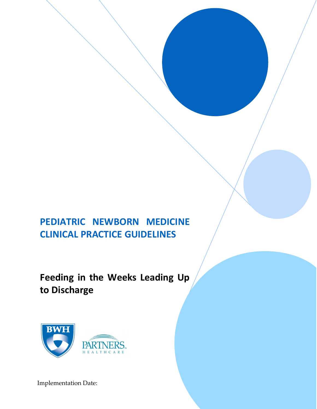# **PEDIATRIC NEWBORN MEDICINE CLINICAL PRACTICE GUIDELINES**

**Feeding in the Weeks Leading Up to Discharge**



Implementation Date: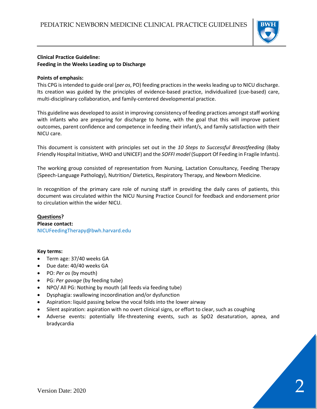

# **Clinical Practice Guideline: Feeding in the Weeks Leading up to Discharge**

# **Points of emphasis:**

This CPG is intended to guide oral (*per os*, PO) feeding practices in the weeks leading up to NICU discharge. Its creation was guided by the principles of evidence-based practice, individualized (cue-based) care, multi-disciplinary collaboration, and family-centered developmental practice.

This guideline was developed to assist in improving consistency of feeding practices amongst staff working with infants who are preparing for discharge to home, with the goal that this will improve patient outcomes, parent confidence and competence in feeding their infant/s, and family satisfaction with their NICU care.

This document is consistent with principles set out in the *10 Steps to Successful Breastfeeding* (Baby Friendly Hospital Initiative, WHO and UNICEF) and the *SOFFI model* (Support Of Feeding in Fragile Infants).

The working group consisted of representation from Nursing, Lactation Consultancy, Feeding Therapy (Speech-Language Pathology), Nutrition/ Dietetics, Respiratory Therapy, and Newborn Medicine.

In recognition of the primary care role of nursing staff in providing the daily cares of patients, this document was circulated within the NICU Nursing Practice Council for feedback and endorsement prior to circulation within the wider NICU.

# **Questions? Please contact:**  NICUFeedingTherapy@bwh.harvard.edu

# **Key terms:**

- Term age: 37/40 weeks GA
- Due date: 40/40 weeks GA
- PO: *Per os* (by mouth)
- PG: *Per gavage* (by feeding tube)
- NPO/ All PG: Nothing by mouth (all feeds via feeding tube)
- Dysphagia: swallowing incoordination and/or dysfunction
- Aspiration: liquid passing below the vocal folds into the lower airway
- Silent aspiration: aspiration with no overt clinical signs, or effort to clear, such as coughing
- Adverse events: potentially life-threatening events, such as SpO2 desaturation, apnea, and bradycardia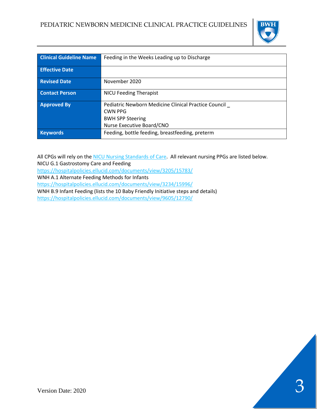

| <b>Clinical Guideline Name</b> | Feeding in the Weeks Leading up to Discharge         |
|--------------------------------|------------------------------------------------------|
|                                |                                                      |
| <b>Effective Date</b>          |                                                      |
|                                |                                                      |
| <b>Revised Date</b>            | November 2020                                        |
|                                |                                                      |
| <b>Contact Person</b>          | <b>NICU Feeding Therapist</b>                        |
|                                |                                                      |
| <b>Approved By</b>             | Pediatric Newborn Medicine Clinical Practice Council |
|                                | CWN PPG                                              |
|                                | <b>BWH SPP Steering</b>                              |
|                                |                                                      |
|                                | Nurse Executive Board/CNO                            |
| <b>Keywords</b>                | Feeding, bottle feeding, breastfeeding, preterm      |
|                                |                                                      |

All CPGs will rely on the [NICU Nursing Standards of Care.](http://www.bwhpikenotes.org/policies/Nursing/CWN_Clinical_Practice_Manual/NICU/NICU_Standards.pdf) All relevant nursing PPGs are listed below.

NICU G.1 Gastrostomy Care and Feeding

<https://hospitalpolicies.ellucid.com/documents/view/3205/15783/>

WNH A.1 Alternate Feeding Methods for Infants

<https://hospitalpolicies.ellucid.com/documents/view/3234/15996/>

WNH B.9 Infant Feeding (lists the 10 Baby Friendly Initiative steps and details)

<https://hospitalpolicies.ellucid.com/documents/view/9605/12790/>

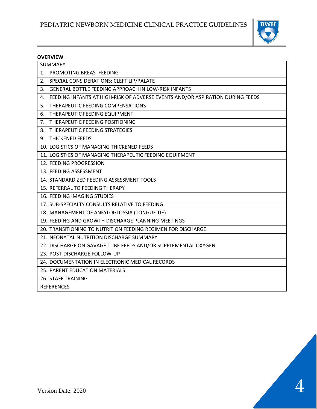

# **OVERVIEW**

| SUMMARY                                                                             |
|-------------------------------------------------------------------------------------|
| PROMOTING BREASTFEEDING<br>1.                                                       |
| SPECIAL CONSIDERATIONS: CLEFT LIP/PALATE<br>2.                                      |
| GENERAL BOTTLE FEEDING APPROACH IN LOW-RISK INFANTS<br>3.                           |
| FEEDING INFANTS AT HIGH-RISK OF ADVERSE EVENTS AND/OR ASPIRATION DURING FEEDS<br>4. |
| THERAPEUTIC FEEDING COMPENSATIONS<br>5.                                             |
| THERAPEUTIC FEEDING EQUIPMENT<br>6.                                                 |
| THERAPEUTIC FEEDING POSITIONING<br>7.                                               |
| THERAPEUTIC FEEDING STRATEGIES<br>8.                                                |
| <b>THICKENED FEEDS</b><br>9.                                                        |
| 10. LOGISTICS OF MANAGING THICKENED FEEDS                                           |
| 11. LOGISTICS OF MANAGING THERAPEUTIC FEEDING EQUIPMENT                             |
| 12. FEEDING PROGRESSION                                                             |
| 13. FEEDING ASSESSMENT                                                              |
| 14. STANDARDIZED FEEDING ASSESSMENT TOOLS                                           |
| 15. REFERRAL TO FEEDING THERAPY                                                     |
| 16. FEEDING IMAGING STUDIES                                                         |
| 17. SUB-SPECIALTY CONSULTS RELATIVE TO FEEDING                                      |
| 18. MANAGEMENT OF ANKYLOGLOSSIA (TONGUE TIE)                                        |
| 19. FEEDING AND GROWTH DISCHARGE PLANNING MEETINGS                                  |
| 20. TRANSITIONING TO NUTRITION FEEDING REGIMEN FOR DISCHARGE                        |
| 21. NEONATAL NUTRITION DISCHARGE SUMMARY                                            |
| 22. DISCHARGE ON GAVAGE TUBE FEEDS AND/OR SUPPLEMENTAL OXYGEN                       |
| 23. POST-DISCHARGE FOLLOW-UP                                                        |
| 24. DOCUMENTATION IN ELECTRONIC MEDICAL RECORDS                                     |
| 25. PARENT EDUCATION MATERIALS                                                      |
| <b>26. STAFF TRAINING</b>                                                           |
| <b>REFERENCES</b>                                                                   |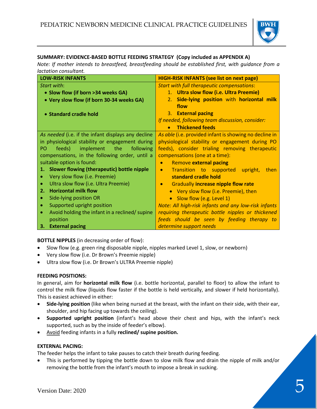

# **SUMMARY: EVIDENCE-BASED BOTTLE FEEDING STRATEGY (Copy included as APPENDIX A)**

*Note: If mother intends to breastfeed, breastfeeding should be established first, with guidance from a lactation consultant.*

| <b>LOW-RISK INFANTS</b>                                      | <b>HIGH-RISK INFANTS (see list on next page)</b>        |
|--------------------------------------------------------------|---------------------------------------------------------|
| Start with:                                                  | <b>Start with full therapeutic compensations:</b>       |
| • Slow flow (if born >34 weeks GA)                           | 1. Ultra slow flow (i.e. Ultra Preemie)                 |
| • Very slow flow (if born 30-34 weeks GA)                    | Side-lying position with horizontal milk<br>2.          |
|                                                              | flow                                                    |
| • Standard cradle hold                                       | 3. External pacing                                      |
|                                                              | If needed, following team discussion, consider:         |
|                                                              | <b>Thickened feeds</b><br>$\bullet$                     |
| As needed (i.e. if the infant displays any decline           | As able (i.e. provided infant is showing no decline in  |
| in physiological stability or engagement during              | physiological stability or engagement during PO         |
| implement the following<br>feeds)<br>PO.                     | feeds), consider trialing removing therapeutic          |
| compensations, in the following order, until a               | compensations (one at a time):                          |
| suitable option is found:                                    | <b>Remove external pacing</b><br>$\bullet$              |
| Slower flowing (therapeutic) bottle nipple<br>$\mathbf{1}$ . | Transition to supported upright,<br>then<br>$\bullet$   |
| Very slow flow (i.e. Preemie)                                | standard cradle hold                                    |
| Ultra slow flow (i.e. Ultra Preemie)                         | <b>Gradually increase nipple flow rate</b><br>$\bullet$ |
| <b>Horizontal milk flow</b><br>2.                            | • Very slow flow (i.e. Preemie), then                   |
| Side-lying position OR                                       | Slow flow (e.g. Level 1)<br>$\bullet$                   |
| Supported upright position                                   | Note: All high-risk infants and any low-risk infants    |
| Avoid holding the infant in a reclined/ supine               | requiring therapeutic bottle nipples or thickened       |
| position                                                     | feeds should be seen by feeding therapy to              |
| <b>External pacing</b><br>З.                                 | determine support needs                                 |

**BOTTLE NIPPLES** (in decreasing order of flow):

- Slow flow (e.g. green ring disposable nipple, nipples marked Level 1, slow, or newborn)
- Very slow flow (i.e. Dr Brown's Preemie nipple)
- Ultra slow flow (i.e. Dr Brown's ULTRA Preemie nipple)

# **FEEDING POSITIONS:**

In general, aim for **horizontal milk flow** (i.e. bottle horizontal, parallel to floor) to allow the infant to control the milk flow (liquids flow faster if the bottle is held vertically, and slower if held horizontally). This is easiest achieved in either:

- **Side-lying position** (like when being nursed at the breast, with the infant on their side, with their ear, shoulder, and hip facing up towards the ceiling).
- **Supported upright position** (infant's head above their chest and hips, with the infant's neck supported, such as by the inside of feeder's elbow).
- Avoid feeding infants in a fully **reclined/ supine position.**

# **EXTERNAL PACING:**

The feeder helps the infant to take pauses to catch their breath during feeding.

• This is performed by tipping the bottle down to slow milk flow and drain the nipple of milk and/or removing the bottle from the infant's mouth to impose a break in sucking.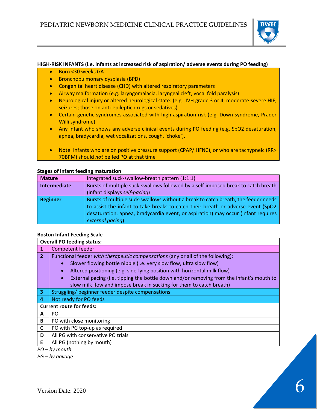

#### **HIGH-RISK INFANTS (i.e. infants at increased risk of aspiration/ adverse events during PO feeding)**

- Born <30 weeks GA
- Bronchopulmonary dysplasia (BPD)
- Congenital heart disease (CHD) with altered respiratory parameters
- Airway malformation (e.g. laryngomalacia, laryngeal cleft, vocal fold paralysis)
- Neurological injury or altered neurological state: (e.g. IVH grade 3 or 4, moderate-severe HIE, seizures; those on anti-epileptic drugs or sedatives)
- Certain genetic syndromes associated with high aspiration risk (e.g. Down syndrome, Prader Willi syndrome)
- Any infant who shows any adverse clinical events during PO feeding (e.g. SpO2 desaturation, apnea, bradycardia, wet vocalizations, cough, 'choke').
- Note: Infants who are on positive pressure support (CPAP/ HFNC), or who are tachypneic (RR> 70BPM) should *not* be fed PO at that time

## **Stages of infant feeding maturation**

| <b>Mature</b>   | Integrated suck-swallow-breath pattern (1:1:1)                                     |
|-----------------|------------------------------------------------------------------------------------|
| Intermediate    | Bursts of multiple suck-swallows followed by a self-imposed break to catch breath  |
|                 | (infant displays self-pacing)                                                      |
| <b>Beginner</b> | Bursts of multiple suck-swallows without a break to catch breath; the feeder needs |
|                 | to assist the infant to take breaks to catch their breath or adverse event (SpO2   |
|                 | desaturation, apnea, bradycardia event, or aspiration) may occur (infant requires  |
|                 | external pacing)                                                                   |

# **Boston Infant Feeding Scale**

|                | <b>Overall PO feeding status:</b>                                                                     |  |
|----------------|-------------------------------------------------------------------------------------------------------|--|
| 1              | Competent feeder                                                                                      |  |
| $\overline{2}$ | Functional feeder with therapeutic compensations (any or all of the following):                       |  |
|                | Slower flowing bottle nipple (i.e. very slow flow, ultra slow flow)<br>$\bullet$                      |  |
|                | Altered positioning (e.g. side-lying position with horizontal milk flow)<br>$\bullet$                 |  |
|                | External pacing (i.e. tipping the bottle down and/or removing from the infant's mouth to<br>$\bullet$ |  |
|                | slow milk flow and impose break in sucking for them to catch breath)                                  |  |
| 3              | Struggling/beginner feeder despite compensations                                                      |  |
| 4              | Not ready for PO feeds                                                                                |  |
|                | <b>Current route for feeds:</b>                                                                       |  |
| A              | PO                                                                                                    |  |
| B              | PO with close monitoring                                                                              |  |
| C              | PO with PG top-up as required                                                                         |  |
| D              | All PG with conservative PO trials                                                                    |  |
| E              | All PG (nothing by mouth)                                                                             |  |
| המ             | $h$ u mouth                                                                                           |  |

*PO – by mouth*

*PG – by gavage*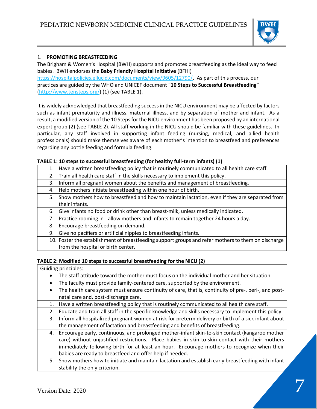

# 1. **PROMOTING BREASTFEEDING**

The Brigham & Women's Hospital (BWH) supports and promotes breastfeeding as the ideal way to feed babies. BWH endorses the **Baby Friendly Hospital Initiative** (BFHI)

[https://hospitalpolicies.ellucid.com/documents/view/9605/12790/.](https://hospitalpolicies.ellucid.com/documents/view/9605/12790/) As part of this process, our practices are guided by the WHO and UNICEF document "**10 Steps to Successful Breastfeeding**" [\(http://www.tensteps.org/\)](http://www.tensteps.org/) (1) (see TABLE 1).

It is widely acknowledged that breastfeeding success in the NICU environment may be affected by factors such as infant prematurity and illness, maternal illness, and by separation of mother and infant. As a result, a modified version of the 10 Steps for the NICU environment has been proposed by an international expert group (2) (see TABLE 2). All staff working in the NICU should be familiar with these guidelines. In particular, any staff involved in supporting infant feeding (nursing, medical, and allied health professionals) should make themselves aware of each mother's intention to breastfeed and preferences regarding any bottle feeding and formula feeding.

# **TABLE 1: 10 steps to successful breastfeeding (for healthy full-term infants) (1)**

- 1. Have a written breastfeeding policy that is routinely communicated to all health care staff.
	- 2. Train all health care staff in the skills necessary to implement this policy.
- 3. Inform all pregnant women about the benefits and management of breastfeeding.
- 4. Help mothers initiate breastfeeding within one hour of birth.
- 5. Show mothers how to breastfeed and how to maintain lactation, even if they are separated from their infants.
- 6. Give infants no food or drink other than breast-milk, unless medically indicated.
- 7. Practice rooming in allow mothers and infants to remain together 24 hours a day.
- 8. Encourage breastfeeding on demand.
- 9. Give no pacifiers or artificial nipples to breastfeeding infants.
- 10. Foster the establishment of breastfeeding support groups and refer mothers to them on discharge from the hospital or birth center.

# **TABLE 2: Modified 10 steps to successful breastfeeding for the NICU (2)**

Guiding principles:

- The staff attitude toward the mother must focus on the individual mother and her situation.
- The faculty must provide family-centered care, supported by the environment.
- The health care system must ensure continuity of care, that is, continuity of pre-, peri-, and postnatal care and, post-discharge care.
- 1. Have a written breastfeeding policy that is routinely communicated to all health care staff.
- 2. Educate and train all staff in the specific knowledge and skills necessary to implement this policy.
- 3. Inform all hospitalized pregnant women at risk for preterm delivery or birth of a sick infant about the management of lactation and breastfeeding and benefits of breastfeeding.
- 4. Encourage early, continuous, and prolonged mother-infant skin-to-skin contact (kangaroo mother care) without unjustified restrictions. Place babies in skin-to-skin contact with their mothers immediately following birth for at least an hour. Encourage mothers to recognize when their babies are ready to breastfeed and offer help if needed.
- 5. Show mothers how to initiate and maintain lactation and establish early breastfeeding with infant stability the only criterion.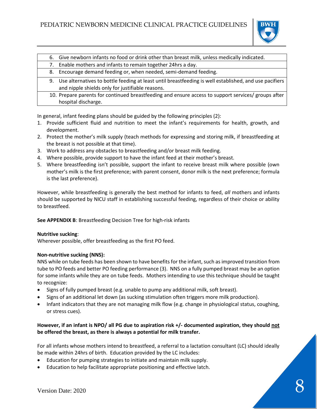

|    | 6. Give newborn infants no food or drink other than breast milk, unless medically indicated.                                                               |
|----|------------------------------------------------------------------------------------------------------------------------------------------------------------|
| 7. | Enable mothers and infants to remain together 24hrs a day.                                                                                                 |
| 8. | Encourage demand feeding or, when needed, semi-demand feeding.                                                                                             |
| 9. | Use alternatives to bottle feeding at least until breastfeeding is well established, and use pacifiers<br>and nipple shields only for justifiable reasons. |
|    | 10. Prepare parents for continued breastfeeding and ensure access to support services/ groups after<br>hospital discharge.                                 |

In general, infant feeding plans should be guided by the following principles (2):

- 1. Provide sufficient fluid and nutrition to meet the infant's requirements for health, growth, and development.
- 2. Protect the mother's milk supply (teach methods for expressing and storing milk, if breastfeeding at the breast is not possible at that time).
- 3. Work to address any obstacles to breastfeeding and/or breast milk feeding.
- 4. Where possible, provide support to have the infant feed at their mother's breast.
- 5. Where breastfeeding isn't possible, support the infant to receive breast milk where possible (own mother's milk is the first preference; with parent consent, donor milk is the next preference; formula is the last preference).

However, while breastfeeding is generally the best method for infants to feed, *all* mothers and infants should be supported by NICU staff in establishing successful feeding, regardless of their choice or ability to breastfeed.

**See APPENDIX B**: Breastfeeding Decision Tree for high-risk infants

# **Nutritive sucking**:

Wherever possible, offer breastfeeding as the first PO feed.

# **Non-nutritive sucking (NNS):**

NNS while on tube feeds has been shown to have benefits for the infant, such as improved transition from tube to PO feeds and better PO feeding performance (3). NNS on a fully pumped breast may be an option for some infants while they are on tube feeds. Mothers intending to use this technique should be taught to recognize:

- Signs of fully pumped breast (e.g. unable to pump any additional milk, soft breast).
- Signs of an additional let down (as sucking stimulation often triggers more milk production).
- Infant indicators that they are not managing milk flow (e.g. change in physiological status, coughing, or stress cues).

# **However, if an infant is NPO/ all PG due to aspiration risk +/- documented aspiration, they should not be offered the breast, as there is always a potential for milk transfer.**

For all infants whose mothers intend to breastfeed, a referral to a lactation consultant (LC) should ideally be made within 24hrs of birth. Education provided by the LC includes:

- Education for pumping strategies to initiate and maintain milk supply.
- Education to help facilitate appropriate positioning and effective latch.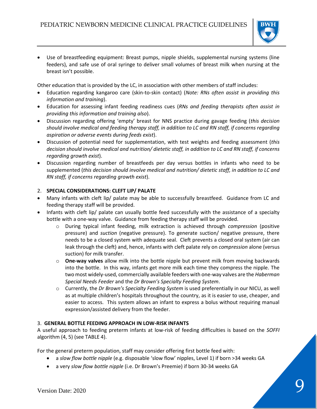

• Use of breastfeeding equipment: Breast pumps, nipple shields, supplemental nursing systems (line feeders), and safe use of oral syringe to deliver small volumes of breast milk when nursing at the breast isn't possible.

Other education that is provided by the LC, in association with other members of staff includes:

- Education regarding kangaroo care (skin-to-skin contact) (*Note: RNs often assist in providing this information and training*).
- Education for assessing infant feeding readiness cues (*RNs and feeding therapists often assist in providing this information and training also*).
- Discussion regarding offering 'empty' breast for NNS practice during gavage feeding (*this decision should involve medical and feeding therapy staff, in addition to LC and RN staff, if concerns regarding aspiration or adverse events during feeds exist*).
- Discussion of potential need for supplementation, with test weights and feeding assessment (*this decision should involve medical and nutrition/ dietetic staff, in addition to LC and RN staff, if concerns regarding growth exist*).
- Discussion regarding number of breastfeeds per day versus bottles in infants who need to be supplemented (*this decision should involve medical and nutrition/ dietetic staff, in addition to LC and RN staff, if concerns regarding growth exist*).

# 2. **SPECIAL CONSIDERATIONS: CLEFT LIP/ PALATE**

- Many infants with cleft lip/ palate may be able to successfully breastfeed. Guidance from LC and feeding therapy staff will be provided.
- Infants with cleft lip/ palate can usually bottle feed successfully with the assistance of a specialty bottle with a one-way valve. Guidance from feeding therapy staff will be provided.
	- o During typical infant feeding, milk extraction is achieved through *compression* (positive pressure) and *suction* (negative pressure). To generate suction/ negative pressure, there needs to be a closed system with adequate seal. Cleft prevents a closed oral system (air can leak through the cleft) and, hence, infants with cleft palate rely on *compression* alone (versus suction) for milk transfer.
	- o **One-way valves** allow milk into the bottle nipple but prevent milk from moving backwards into the bottle. In this way, infants get more milk each time they compress the nipple. The two most widely-used, commercially available feeders with one-way valves are the *Haberman Special Needs Feeder* and the *Dr Brown's Specialty Feeding System*.
	- o Currently, the *Dr Brown's Specialty Feeding System* is used preferentially in our NICU, as well as at multiple children's hospitals throughout the country, as it is easier to use, cheaper, and easier to access. This system allows an infant to express a bolus without requiring manual expression/assisted delivery from the feeder.

# 3. **GENERAL BOTTLE FEEDING APPROACH IN LOW-RISK INFANTS**

A useful approach to feeding preterm infants at low-risk of feeding difficulties is based on the *SOFFI*  algorithm (4, 5) (see TABLE 4).

For the general preterm population, staff may consider offering first bottle feed with:

- a *slow flow bottle nipple* (e.g. disposable 'slow flow' nipples, Level 1) if born >34 weeks GA
- a very *slow flow bottle nipple* (i.e. Dr Brown's Preemie) if born 30-34 weeks GA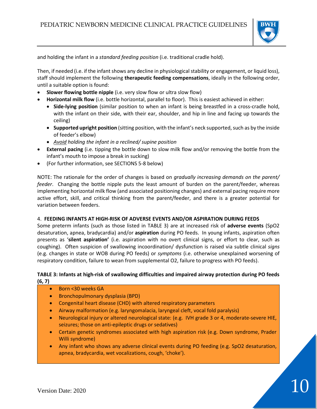

and holding the infant in a *standard feeding position* (i.e. traditional cradle hold).

Then, if needed (i.e. if the infant shows any decline in physiological stability or engagement, or liquid loss), staff should implement the following **therapeutic feeding compensations**, ideally in the following order, until a suitable option is found:

- **Slower flowing bottle nipple** (i.e. very slow flow or ultra slow flow)
- **Horizontal milk flow** (i.e. bottle horizontal, parallel to floor). This is easiest achieved in either:
	- **Side-lying position** (similar position to when an infant is being breastfed in a cross-cradle hold, with the infant on their side, with their ear, shoulder, and hip in line and facing up towards the ceiling)
	- **Supported upright position** (sitting position, with the infant's neck supported, such as by the inside of feeder's elbow)
	- *Avoid holding the infant in a reclined/ supine position*
- **External pacing** (i.e. tipping the bottle down to slow milk flow and/or removing the bottle from the infant's mouth to impose a break in sucking)
- (For further information, see SECTIONS 5-8 below)

NOTE: The rationale for the order of changes is based on *gradually increasing demands on the parent/ feeder*. Changing the bottle nipple puts the least amount of burden on the parent/feeder, whereas implementing horizontal milk flow (and associated positioning changes) and external pacing require more active effort, skill, and critical thinking from the parent/feeder, and there is a greater potential for variation between feeders.

# 4. **FEEDING INFANTS AT HIGH-RISK OF ADVERSE EVENTS AND/OR ASPIRATION DURING FEEDS**

Some preterm infants (such as those listed in TABLE 3) are at increased risk of **adverse events** (SpO2 desaturation, apnea, bradycardia) and/or **aspiration** during PO feeds. In young infants, aspiration often presents as '**silent aspiration'** (i.e. aspiration with no overt clinical signs, or effort to clear, such as coughing). Often suspicion of swallowing incoordination/ dysfunction is raised via subtle clinical *signs* (e.g. changes in state or WOB during PO feeds) or *symptoms* (i.e. otherwise unexplained worsening of respiratory condition, failure to wean from supplemental O2, failure to progress with PO feeds).

# **TABLE 3: Infants at high-risk of swallowing difficulties and impaired airway protection during PO feeds (6, 7)**

- Born <30 weeks GA
- Bronchopulmonary dysplasia (BPD)
- Congenital heart disease (CHD) with altered respiratory parameters
- Airway malformation (e.g. laryngomalacia, laryngeal cleft, vocal fold paralysis)
- Neurological injury or altered neurological state: (e.g. IVH grade 3 or 4, moderate-severe HIE, seizures; those on anti-epileptic drugs or sedatives)
- Certain genetic syndromes associated with high aspiration risk (e.g. Down syndrome, Prader Willi syndrome)
- Any infant who shows any adverse clinical events during PO feeding (e.g. SpO2 desaturation, apnea, bradycardia, wet vocalizations, cough, 'choke').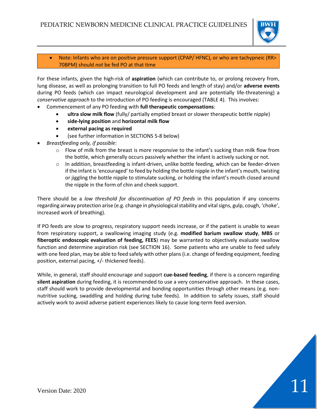

Note: Infants who are on positive pressure support (CPAP/ HFNC), or who are tachypneic (RR> 70BPM) should *not* be fed PO at that time

For these infants, given the high-risk of **aspiration** (which can contribute to, or prolong recovery from, lung disease, as well as prolonging transition to full PO feeds and length of stay) and/or **adverse events** during PO feeds (which can impact neurological development and are potentially life-threatening) a *conservative approach* to the introduction of PO feeding is encouraged (TABLE 4). This involves:

- Commencement of any PO feeding with **full therapeutic compensations**:
	- **ultra slow milk flow** (fully/ partially emptied breast or slower therapeutic bottle nipple)
	- **side-lying position** and **horizontal milk flow**
	- **external pacing as required**
	- (see further information in SECTIONS 5-8 below)
- *Breastfeeding only, if possible*:
	- $\circ$  Flow of milk from the breast is more responsive to the infant's sucking than milk flow from the bottle, which generally occurs passively whether the infant is actively sucking or not.
	- $\circ$  In addition, breastfeeding is infant-driven, unlike bottle feeding, which can be feeder-driven if the infant is 'encouraged' to feed by holding the bottle nipple in the infant's mouth, twisting or jiggling the bottle nipple to stimulate sucking, or holding the infant's mouth closed around the nipple in the form of chin and cheek support.

There should be a *low threshold for discontinuation of PO feeds* in this population if any concerns regarding airway protection arise (e.g. change in physiological stability and vital signs, gulp, cough, 'choke', increased work of breathing).

If PO feeds are slow to progress, respiratory support needs increase, or if the patient is unable to wean from respiratory support, a swallowing imaging study (e.g. **modified barium swallow study**, **MBS** or **fiberoptic endoscopic evaluation of feeding, FEES**) may be warranted to objectively evaluate swallow function and determine aspiration risk (see SECTION 16). Some patients who are unable to feed safely with one feed plan, may be able to feed safely with other plans (i.e. change of feeding equipment, feeding position, external pacing, +/- thickened feeds).

While, in general, staff should encourage and support **cue-based feeding**, if there is a concern regarding **silent aspiration** during feeding, it is recommended to use a very conservative approach. In these cases, staff should work to provide developmental and bonding opportunities through other means (e.g. nonnutritive sucking, swaddling and holding during tube feeds). In addition to safety issues, staff should actively work to avoid adverse patient experiences likely to cause long-term feed aversion.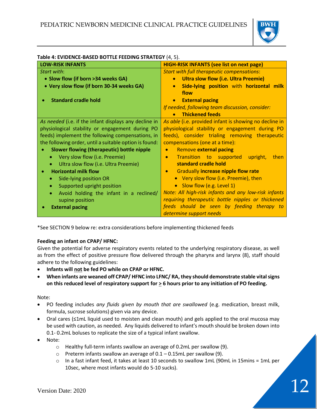

| Table 4. LYIDLIYCL-DASLD DOTTLE FELDING STRATEGT (4, 3). |                                                          |
|----------------------------------------------------------|----------------------------------------------------------|
| <b>LOW-RISK INFANTS</b>                                  | <b>HIGH-RISK INFANTS (see list on next page)</b>         |
| Start with:                                              | <b>Start with full therapeutic compensations:</b>        |
| • Slow flow (if born >34 weeks GA)                       | <b>Ultra slow flow (i.e. Ultra Preemie)</b>              |
| • Very slow flow (if born 30-34 weeks GA)                | Side-lying position with horizontal milk                 |
|                                                          | flow                                                     |
| <b>Standard cradle hold</b>                              | <b>External pacing</b>                                   |
|                                                          | If needed, following team discussion, consider:          |
|                                                          | <b>Thickened feeds</b>                                   |
| As needed (i.e. if the infant displays any decline in    | As able (i.e. provided infant is showing no decline in   |
| physiological stability or engagement during PO          | physiological stability or engagement during PO          |
| feeds) implement the following compensations, in         | feeds), consider trialing removing therapeutic           |
| the following order, until a suitable option is found:   | compensations (one at a time):                           |
| Slower flowing (therapeutic) bottle nipple               | <b>Remove external pacing</b><br>$\bullet$               |
| Very slow flow (i.e. Preemie)                            | Transition to supported<br>then<br>upright,<br>$\bullet$ |
| Ultra slow flow (i.e. Ultra Preemie)<br>۰                | standard cradle hold                                     |
| <b>Horizontal milk flow</b>                              | <b>Gradually increase nipple flow rate</b><br>$\bullet$  |
| Side-lying position OR                                   | Very slow flow (i.e. Preemie), then<br>$\bullet$         |
| Supported upright position<br>۰                          | Slow flow (e.g. Level 1)<br>$\bullet$                    |
| Avoid holding the infant in a reclined/                  | Note: All high-risk infants and any low-risk infants     |
| supine position                                          | requiring therapeutic bottle nipples or thickened        |
| <b>External pacing</b>                                   | feeds should be seen by feeding therapy to               |
|                                                          | determine support needs                                  |

# **Table 4: EVIDENCE-BASED BOTTLE FEEDING STRATEGY** (4, 5).

\*See SECTION 9 below re: extra considerations before implementing thickened feeds

# **Feeding an infant on CPAP/ HFNC:**

Given the potential for adverse respiratory events related to the underlying respiratory disease, as well as from the effect of positive pressure flow delivered through the pharynx and larynx (8), staff should adhere to the following guidelines:

- **Infants will not be fed PO while on CPAP or HFNC.**
- **When infants are weaned off CPAP/ HFNC into LFNC/ RA, they should demonstrate stable vital signs on this reduced level of respiratory support for > 6 hours prior to any initiation of PO feeding.**

Note:

- PO feeding includes *any fluids given by mouth that are swallowed* (e.g. medication, breast milk, formula, sucrose solutions) given via any device.
- Oral cares (≤1mL liquid used to moisten and clean mouth) and gels applied to the oral mucosa may be used with caution, as needed. Any liquids delivered to infant's mouth should be broken down into 0.1- 0.2mL boluses to replicate the size of a typical infant swallow.
- Note:
	- o Healthy full-term infants swallow an average of 0.2mL per swallow (9).
	- $\circ$  Preterm infants swallow an average of 0.1 0.15mL per swallow (9).
	- $\circ$  In a fast infant feed, it takes at least 10 seconds to swallow 1mL (90mL in 15mins = 1mL per 10sec, where most infants would do 5-10 sucks).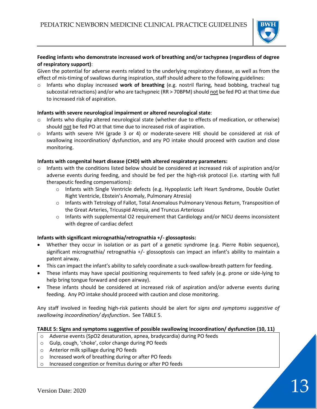

# **Feeding infants who demonstrate increased work of breathing and/or tachypnea (regardless of degree of respiratory support)**:

Given the potential for adverse events related to the underlying respiratory disease, as well as from the effect of mis-timing of swallows during inspiration, staff should adhere to the following guidelines:

o Infants who display increased **work of breathing** (e.g. nostril flaring, head bobbing, tracheal tug subcostal retractions) and/or who are tachypneic (RR > 70BPM) should not be fed PO at that time due to increased risk of aspiration.

# **Infants with severe neurological impairment or altered neurological state**:

- $\circ$  Infants who display altered neurological state (whether due to effects of medication, or otherwise) should not be fed PO at that time due to increased risk of aspiration.
- o Infants with severe IVH (grade 3 or 4) or moderate-severe HIE should be considered at risk of swallowing incoordination/ dysfunction, and any PO intake should proceed with caution and close monitoring.

# **Infants with congenital heart disease (CHD) with altered respiratory parameters:**

- $\circ$  Infants with the conditions listed below should be considered at increased risk of aspiration and/or adverse events during feeding, and should be fed per the high-risk protocol (i.e. starting with full therapeutic feeding compensations):
	- o Infants with Single Ventricle defects (e.g. Hypoplastic Left Heart Syndrome, Double Outlet Right Ventricle, Ebstein's Anomaly, Pulmonary Atresia)
	- $\circ$  Infants with Tetrology of Fallot, Total Anomalous Pulmonary Venous Return, Transposition of the Great Arteries, Tricuspid Atresia, and Truncus Arteriosus
	- $\circ$  Infants with supplemental O2 requirement that Cardiology and/or NICU deems inconsistent with degree of cardiac defect

# **Infants with significant micrognathia/retrognathia +/- glossoptosis:**

- Whether they occur in isolation or as part of a genetic syndrome (e.g. Pierre Robin sequence), significant micrognathia/ retrognathia +/- glossoptosis can impact an infant's ability to maintain a patent airway.
- This can impact the infant's ability to safely coordinate a suck-swallow-breath pattern for feeding.
- These infants may have special positioning requirements to feed safely (e.g. prone or side-lying to help bring tongue forward and open airway).
- These infants should be considered at increased risk of aspiration and/or adverse events during feeding. Any PO intake should proceed with caution and close monitoring.

Any staff involved in feeding high-risk patients should be alert for *signs and symptoms suggestive of swallowing incoordination/ dysfunction***.** See TABLE 5.

# **TABLE 5: Signs and symptoms suggestive of possible swallowing incoordination/ dysfunction (10, 11)**

- o Adverse events (SpO2 desaturation, apnea, bradycardia) during PO feeds
- o Gulp, cough, 'choke', color change during PO feeds
- o Anterior milk spillage during PO feeds
- o Increased work of breathing during or after PO feeds
- o Increased congestion or fremitus during or after PO feeds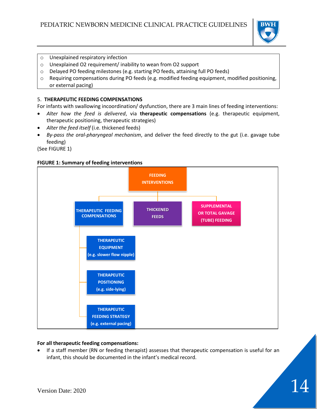

- o Unexplained respiratory infection
- o Unexplained O2 requirement/ inability to wean from O2 support
- o Delayed PO feeding milestones (e.g. starting PO feeds, attaining full PO feeds)
- $\circ$  Requiring compensations during PO feeds (e.g. modified feeding equipment, modified positioning, or external pacing)

# 5. **THERAPEUTIC FEEDING COMPENSATIONS**

For infants with swallowing incoordination/ dysfunction, there are 3 main lines of feeding interventions:

- *Alter how the feed is delivered*, via **therapeutic compensations** (e.g. therapeutic equipment, therapeutic positioning, therapeutic strategies)
- *Alter the feed itself* (i.e. thickened feeds)
- *By-pass the oral-pharyngeal mechanism*, and deliver the feed directly to the gut (i.e. gavage tube feeding)

(See FIGURE 1)

#### **FIGURE 1: Summary of feeding interventions**



# **For all therapeutic feeding compensations:**

• If a staff member (RN or feeding therapist) assesses that therapeutic compensation is useful for an infant, this should be documented in the infant's medical record.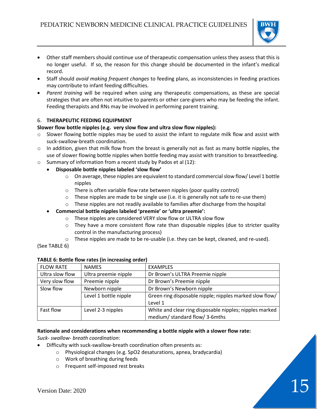

- Other staff members should continue use of therapeutic compensation unless they assess that this is no longer useful. If so, the reason for this change should be documented in the infant's medical record.
- Staff should *avoid making frequent changes* to feeding plans, as inconsistencies in feeding practices may contribute to infant feeding difficulties.
- *Parent training* will be required when using any therapeutic compensations, as these are special strategies that are often not intuitive to parents or other care-givers who may be feeding the infant. Feeding therapists and RNs may be involved in performing parent training.

# 6. **THERAPEUTIC FEEDING EQUIPMENT**

# **Slower flow bottle nipples (e.g. very slow flow and ultra slow flow nipples):**

- $\circ$  Slower flowing bottle nipples may be used to assist the infant to regulate milk flow and assist with suck-swallow-breath coordination.
- $\circ$  In addition, given that milk flow from the breast is generally not as fast as many bottle nipples, the use of slower flowing bottle nipples when bottle feeding may assist with transition to breastfeeding.
- o Summary of information from a recent study by Pados et al (12):
	- **Disposable bottle nipples labeled 'slow flow'** 
		- $\circ$  On average, these nipples are equivalent to standard commercial slow flow/ Level 1 bottle nipples
		- o There is often variable flow rate between nipples (poor quality control)
		- $\circ$  These nipples are made to be single use (i.e. it is generally not safe to re-use them)
		- $\circ$  These nipples are not readily available to families after discharge from the hospital
		- **Commercial bottle nipples labeled 'preemie' or 'ultra preemie':**
			- o These nipples are considered VERY slow flow or ULTRA slow flow
			- $\circ$  They have a more consistent flow rate than disposable nipples (due to stricter quality control in the manufacturing process)
			- $\circ$  These nipples are made to be re-usable (i.e. they can be kept, cleaned, and re-used).

(See TABLE 6)

| <b>FLOW RATE</b> | <b>NAMES</b>          | <b>EXAMPLES</b>                                         |
|------------------|-----------------------|---------------------------------------------------------|
| Ultra slow flow  | Ultra preemie nipple  | Dr Brown's ULTRA Preemie nipple                         |
| Very slow flow   | Preemie nipple        | Dr Brown's Preemie nipple                               |
| Slow flow        | Newborn nipple        | Dr Brown's Newborn nipple                               |
|                  | Level 1 bottle nipple | Green ring disposable nipple; nipples marked slow flow/ |
|                  |                       | Level 1                                                 |
| <b>Fast flow</b> | Level 2-3 nipples     | White and clear ring disposable nipples; nipples marked |
|                  |                       | medium/ standard flow/ 3-6mths                          |

# **TABLE 6: Bottle flow rates (in increasing order)**

#### **Rationale and considerations when recommending a bottle nipple with a slower flow rate:**

*Suck- swallow- breath coordination*:

- Difficulty with suck-swallow-breath coordination often presents as:
	- o Physiological changes (e.g. SpO2 desaturations, apnea, bradycardia)
	- o Work of breathing during feeds
	- o Frequent self-imposed rest breaks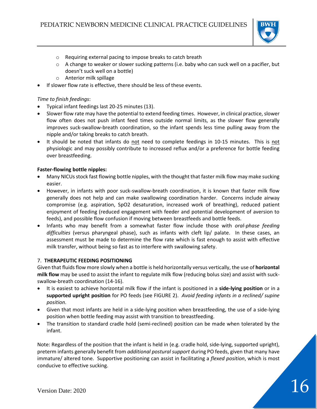

- o Requiring external pacing to impose breaks to catch breath
- $\circ$  A change to weaker or slower sucking patterns (i.e. baby who can suck well on a pacifier, but doesn't suck well on a bottle)
- o Anterior milk spillage
- If slower flow rate is effective, there should be less of these events.

# *Time to finish feedings*:

- Typical infant feedings last 20-25 minutes (13).
- Slower flow rate may have the potential to extend feeding times. However, in clinical practice, slower flow often does not push infant feed times outside normal limits, as the slower flow generally improves suck-swallow-breath coordination, so the infant spends less time pulling away from the nipple and/or taking breaks to catch breath.
- It should be noted that infants do not need to complete feedings in 10-15 minutes. This is not physiologic and may possibly contribute to increased reflux and/or a preference for bottle feeding over breastfeeding.

# **Faster-flowing bottle nipples:**

- Many NICUs stock fast flowing bottle nipples, with the thought that faster milk flow may make sucking easier.
- However, in infants with poor suck-swallow-breath coordination, it is known that faster milk flow generally does not help and can make swallowing coordination harder. Concerns include airway compromise (e.g. aspiration, SpO2 desaturation, increased work of breathing), reduced patient enjoyment of feeding (reduced engagement with feeder and potential development of aversion to feeds), and possible flow confusion if moving between breastfeeds and bottle feeds.
- Infants who may benefit from a somewhat faster flow include those with *oral-phase feeding difficulties* (versus pharyngeal phase), such as infants with cleft lip/ palate. In these cases, an assessment must be made to determine the flow rate which is fast enough to assist with effective milk transfer, without being so fast as to interfere with swallowing safety.

# 7. **THERAPEUTIC FEEDING POSITIONING**

Given that fluids flow more slowly when a bottle is held horizontally versus vertically, the use of **horizontal milk flow** may be used to assist the infant to regulate milk flow (reducing bolus size) and assist with suckswallow-breath coordination (14-16).

- It is easiest to achieve horizontal milk flow if the infant is positioned in a **side-lying position** or in a **supported upright position** for PO feeds (see FIGURE 2). *Avoid feeding infants in a reclined/ supine position*.
- Given that most infants are held in a side-lying position when breastfeeding, the use of a side-lying position when bottle feeding may assist with transition to breastfeeding.
- The transition to standard cradle hold (semi-reclined) position can be made when tolerated by the infant.

Note: Regardless of the position that the infant is held in (e.g. cradle hold, side-lying, supported upright), preterm infants generally benefit from *additional postural support* during PO feeds, given that many have immature/ altered tone. Supportive positioning can assist in facilitating a *flexed position*, which is most conducive to effective sucking.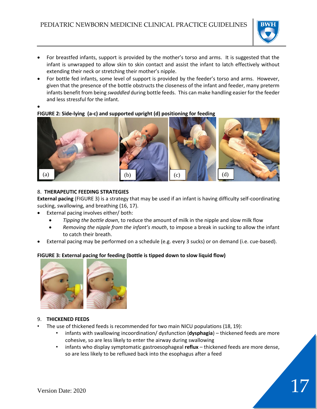

- For breastfed infants, support is provided by the mother's torso and arms. It is suggested that the infant is unwrapped to allow skin to skin contact and assist the infant to latch effectively without extending their neck or stretching their mother's nipple.
- For bottle fed infants, some level of support is provided by the feeder's torso and arms. However, given that the presence of the bottle obstructs the closeness of the infant and feeder, many preterm infants benefit from being *swaddled* during bottle feeds. This can make handling easier for the feeder and less stressful for the infant.
- **FIGURE 2: Side-lying (a-c) and supported upright (d) positioning for feeding**



# 8. **THERAPEUTIC FEEDING STRATEGIES**

**External pacing** (FIGURE 3) is a strategy that may be used if an infant is having difficulty self-coordinating sucking, swallowing, and breathing (16, 17).

- External pacing involves either/ both:
	- *Tipping the bottle down*, to reduce the amount of milk in the nipple and slow milk flow
	- *Removing the nipple from the infant's mouth*, to impose a break in sucking to allow the infant to catch their breath.
- External pacing may be performed on a schedule (e.g. every 3 sucks) or on demand (i.e. cue-based).

# **FIGURE 3: External pacing for feeding (bottle is tipped down to slow liquid flow)**



# 9. **THICKENED FEEDS**

- The use of thickened feeds is recommended for two main NICU populations (18, 19):
	- infants with swallowing incoordination/ dysfunction (**dysphagia**) thickened feeds are more cohesive, so are less likely to enter the airway during swallowing
	- infants who display symptomatic gastroesophageal **reflux** thickened feeds are more dense, so are less likely to be refluxed back into the esophagus after a feed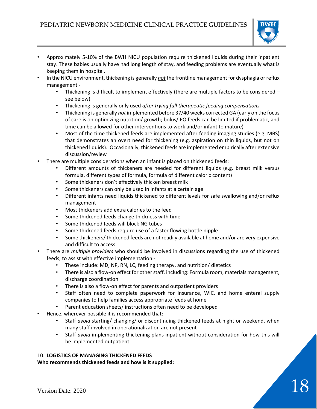

- Approximately 5-10% of the BWH NICU population require thickened liquids during their inpatient stay. These babies usually have had long length of stay, and feeding problems are eventually what is keeping them in hospital.
- In the NICU environment, thickening is generally *not* the frontline management for dysphagia or reflux management -
	- Thickening is difficult to implement effectively (there are multiple factors to be considered see below)
	- Thickening is generally only used *after trying full therapeutic feeding compensations*
	- Thickening is generally *not* implemented before 37/40 weeks corrected GA (early on the focus of care is on optimizing nutrition/ growth; bolus/ PO feeds can be limited if problematic, and time can be allowed for other interventions to work and/or infant to mature)
	- Most of the time thickened feeds are implemented after feeding imaging studies (e.g. MBS) that demonstrates an overt need for thickening (e.g. aspiration on thin liquids, but not on thickened liquids). Occasionally, thickened feeds are implemented empirically after extensive discussion/review
- There are multiple considerations when an infant is placed on thickened feeds:
	- Different amounts of thickeners are needed for different liquids (e.g. breast milk versus formula, different types of formula, formula of different caloric content)
	- Some thickeners don't effectively thicken breast milk
	- Some thickeners can only be used in infants at a certain age
	- Different infants need liquids thickened to different levels for safe swallowing and/or reflux management
	- Most thickeners add extra calories to the feed
	- Some thickened feeds change thickness with time
	- Some thickened feeds will block NG tubes
	- Some thickened feeds require use of a faster flowing bottle nipple
	- Some thickeners/ thickened feeds are not readily available at home and/or are very expensive and difficult to access
- There are *multiple providers* who should be involved in discussions regarding the use of thickened feeds, to assist with effective implementation -
	- These include: MD, NP, RN, LC, feeding therapy, and nutrition/ dietetics
	- There is also a flow-on effect for other staff, including: Formula room, materials management, discharge coordination
	- There is also a flow-on effect for parents and outpatient providers
	- Staff often need to complete paperwork for insurance, WIC, and home enteral supply companies to help families access appropriate feeds at home
	- Parent education sheets/ instructions often need to be developed
- Hence, wherever possible it is recommended that:
	- Staff *avoid* starting/ changing/ or discontinuing thickened feeds at night or weekend, when many staff involved in operationalization are not present
	- Staff *avoid* implementing thickening plans inpatient without consideration for how this will be implemented outpatient

# 10. **LOGISTICS OF MANAGING THICKENED FEEDS**

**Who recommends thickened feeds and how is it supplied:**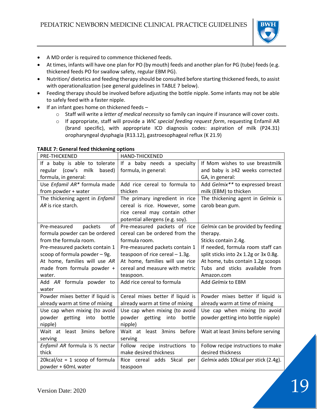

- A MD order is required to commence thickened feeds.
- At times, infants will have one plan for PO (by mouth) feeds and another plan for PG (tube) feeds (e.g. thickened feeds PO for swallow safety, regular EBM PG).
- Nutrition/ dietetics and feeding therapy should be consulted before starting thickened feeds, to assist with operationalization (see general guidelines in TABLE 7 below).
- Feeding therapy should be involved before adjusting the bottle nipple. Some infants may not be able to safely feed with a faster nipple.
- If an infant goes home on thickened feeds
	- o Staff will write a *letter of medical necessity* so family can inquire if insurance will cover costs.
	- o If appropriate, staff will provide a *WIC special feeding request form*, requesting Enfamil AR (brand specific), with appropriate ICD diagnosis codes: aspiration of milk (P24.31) oropharyngeal dysphagia (R13.12), gastroesophageal reflux (K 21.9)

| <b>PRE-THICKENED</b>             | <b>HAND-THICKENED</b>             |                                       |
|----------------------------------|-----------------------------------|---------------------------------------|
| If a baby is able to tolerate    | If a baby needs a specialty       | If Mom wishes to use breastmilk       |
| regular (cow's milk<br>based)    | formula, in general:              | and baby is ≥42 weeks corrected       |
| formula, in general:             |                                   | GA, in general:                       |
| Use Enfamil AR* formula made     | Add rice cereal to formula to     | Add Gelmix** to expressed breast      |
| from powder + water              | thicken                           | milk (EBM) to thicken                 |
| The thickening agent in Enfamil  | The primary ingredient in rice    | The thickening agent in Gelmix is     |
| AR is rice starch.               | cereal is rice. However, some     | carob bean gum.                       |
|                                  | rice cereal may contain other     |                                       |
|                                  | potential allergens (e.g. soy).   |                                       |
| of<br>packets<br>Pre-measured    | Pre-measured packets of rice      | Gelmix can be provided by feeding     |
| formula powder can be ordered    | cereal can be ordered from the    | therapy.                              |
| from the formula room.           | formula room.                     | Sticks contain 2.4g.                  |
| Pre-measured packets contain 1   | Pre-measured packets contain 1    | If needed, formula room staff can     |
| scoop of formula powder - 9g.    | teaspoon of rice cereal $-1.3g$ . | split sticks into 2x 1.2g or 3x 0.8g. |
| At home, families will use AR    | At home, families will use rice   | At home, tubs contain 1.2g scoops     |
| made from formula powder +       | cereal and measure with metric    | Tubs and sticks available from        |
| water.                           | teaspoon.                         | Amazon.com                            |
| Add AR formula powder to         | Add rice cereal to formula        | Add Gelmix to EBM                     |
| water                            |                                   |                                       |
| Powder mixes better if liquid is | Cereal mixes better if liquid is  | Powder mixes better if liquid is      |
| already warm at time of mixing   | already warm at time of mixing    | already warm at time of mixing        |
| Use cap when mixing (to avoid    | Use cap when mixing (to avoid     | Use cap when mixing (to avoid         |
| powder getting<br>into<br>bottle | powder getting into<br>bottle     | powder getting into bottle nipple)    |
| nipple)                          | nipple)                           |                                       |
| Wait at least 3mins before       | Wait at least 3mins<br>before     | Wait at least 3mins before serving    |
| serving                          | serving                           |                                       |
| Enfamil AR formula is 1/2 nectar | Follow recipe instructions to     | Follow recipe instructions to make    |
| thick                            | make desired thickness            | desired thickness                     |
| $20kcal/oz = 1$ scoop of formula | Rice cereal adds 5kcal<br>per     | Gelmix adds 10kcal per stick (2.4g).  |
| powder + 60mL water              | teaspoon                          |                                       |

#### **TABLE 7: General feed thickening options**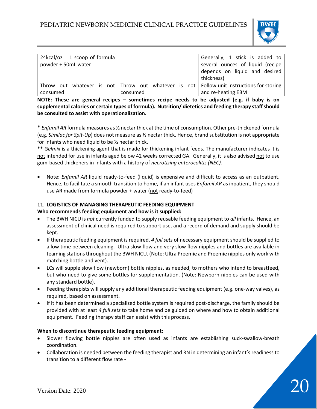

| $24kcal/oz = 1$ scoop of formula<br>powder + 50mL water |          | Generally, 1 stick is added to<br>several ounces of liquid (recipe                           |
|---------------------------------------------------------|----------|----------------------------------------------------------------------------------------------|
|                                                         |          | depends on liquid and desired                                                                |
|                                                         |          | thickness)                                                                                   |
|                                                         |          | Throw out whatever is not   Throw out whatever is not   Follow unit instructions for storing |
| consumed                                                | consumed | and re-heating EBM                                                                           |

**NOTE: These are general recipes – sometimes recipe needs to be adjusted (e.g. if baby is on supplemental calories or certain types of formula). Nutrition/ dietetics and feeding therapy staff should be consulted to assist with operationalization.**

\* *Enfamil AR* formula measures as ½ nectar thick at the time of consumption. Other pre-thickened formula (e.g. *Similac for Spit-Up*) does not measure as ½ nectar thick. Hence, brand substitution is not appropriate for infants who need liquid to be ½ nectar thick.

\*\* *Gelmix* is a thickening agent that is made for thickening infant feeds. The manufacturer indicates it is not intended for use in infants aged below 42 weeks corrected GA. Generally, it is also advised not to use gum-based thickeners in infants with a history of *necrotizing enterocolitis (NEC).*

• Note: *Enfamil AR* liquid ready-to-feed (liquid) is expensive and difficult to access as an outpatient. Hence, to facilitate a smooth transition to home, if an infant uses *Enfamil AR* as inpatient, they should use AR made from formula powder + water (not ready-to-feed)

# 11. **LOGISTICS OF MANAGING THERAPEUTIC FEEDING EQUIPMENT**

# **Who recommends feeding equipment and how is it supplied:**

- The BWH NICU is *not* currently funded to supply reusable feeding equipment to *all* infants. Hence, an assessment of clinical need is required to support use, and a record of demand and supply should be kept.
- If therapeutic feeding equipment is required, *4 full sets* of necessary equipment should be supplied to allow time between cleaning. Ultra slow flow and very slow flow nipples and bottles are available in teaming stations throughout the BWH NICU. (Note: Ultra Preemie and Preemie nipples only work with matching bottle and vent).
- LCs will supple slow flow (newborn) bottle nipples, as needed, to mothers who intend to breastfeed, but who need to give some bottles for supplementation. (Note: Newborn nipples can be used with any standard bottle).
- Feeding therapists will supply any additional therapeutic feeding equipment (e.g. one-way valves), as required, based on assessment.
- If it has been determined a specialized bottle system is required post-discharge, the family should be provided with at least *4 full sets* to take home and be guided on where and how to obtain additional equipment. Feeding therapy staff can assist with this process.

# **When to discontinue therapeutic feeding equipment:**

- Slower flowing bottle nipples are often used as infants are establishing suck-swallow-breath coordination.
- Collaboration is needed between the feeding therapist and RN in determining an infant's readiness to transition to a different flow rate -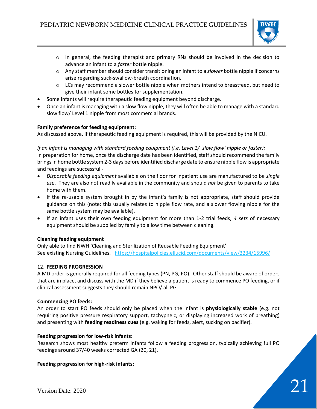

- $\circ$  In general, the feeding therapist and primary RNs should be involved in the decision to advance an infant to a *faster* bottle nipple.
- o Any staff member should consider transitioning an infant to a *slower* bottle nipple if concerns arise regarding suck-swallow-breath coordination.
- $\circ$  LCs may recommend a slower bottle nipple when mothers intend to breastfeed, but need to give their infant some bottles for supplementation.
- Some infants will require therapeutic feeding equipment beyond discharge.
- Once an infant is managing with a slow flow nipple, they will often be able to manage with a standard slow flow/ Level 1 nipple from most commercial brands.

# **Family preference for feeding equipment:**

As discussed above, if therapeutic feeding equipment is required, this will be provided by the NICU.

*If an infant is managing with standard feeding equipment (i.e. Level 1/ 'slow flow' nipple or faster):* In preparation for home, once the discharge date has been identified, staff should recommend the family brings in home bottle system 2-3 days before identified discharge date to ensure nipple flow is appropriate and feedings are successful -

- *Disposable feeding equipment* available on the floor for inpatient use are manufactured to be *single use*. They are also not readily available in the community and should *not* be given to parents to take home with them.
- If the re-usable system brought in by the infant's family is not appropriate, staff should provide guidance on this (note: this usually relates to nipple flow rate, and a slower flowing nipple for the same bottle system may be available).
- If an infant uses their own feeding equipment for more than 1-2 trial feeds, *4 sets* of necessary equipment should be supplied by family to allow time between cleaning.

# **Cleaning feeding equipment**

Only able to find NWH 'Cleaning and Sterilization of Reusable Feeding Equipment' See existing Nursing Guidelines. <https://hospitalpolicies.ellucid.com/documents/view/3234/15996/>

# 12. **FEEDING PROGRESSION**

A MD order is generally required for all feeding types (PN, PG, PO). Other staff should be aware of orders that are in place, and discuss with the MD if they believe a patient is ready to commence PO feeding, or if clinical assessment suggests they should remain NPO/ all PG.

# **Commencing PO feeds:**

An order to start PO feeds should only be placed when the infant is **physiologically stable** (e.g. not requiring positive pressure respiratory support, tachypneic, or displaying increased work of breathing) and presenting with **feeding readiness cues** (e.g. waking for feeds, alert, sucking on pacifier).

# **Feeding progression for low-risk infants:**

Research shows most healthy preterm infants follow a feeding progression, typically achieving full PO feedings around 37/40 weeks corrected GA (20, 21).

# **Feeding progression for high-risk infants:**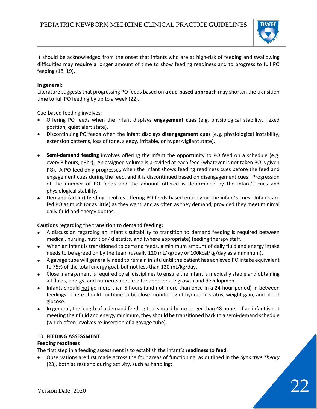

It should be acknowledged from the onset that infants who are at high-risk of feeding and swallowing difficulties may require a longer amount of time to show feeding readiness and to progress to full PO feeding (18, 19).

# **In general:**

Literature suggests that progressing PO feeds based on a **cue-based approach** may shorten the transition time to full PO feeding by up to a week (22).

Cue-based feeding involves:

- Offering PO feeds when the infant displays **engagement cues** (e.g. physiological stability, flexed position, quiet alert state).
- Discontinuing PO feeds when the infant displays **disengagement cues** (e.g. physiological instability, extension patterns, loss of tone, sleepy, irritable, or hyper-vigilant state).
- **Semi-demand feeding** involves offering the infant the opportunity to PO feed on a schedule (e.g. every 3 hours, q3hr). An assigned volume is provided at each feed (whatever is not taken PO is given PG). A PO feed only progresses when the infant shows feeding readiness cues before the feed and engagement cues during the feed, and it is discontinued based on disengagement cues. Progression of the number of PO feeds and the amount offered is determined by the infant's cues and physiological stability.
- **Demand (ad lib) feeding** involves offering PO feeds based entirely on the infant's cues. Infants are fed PO as much (or as little) as they want, and as often as they demand, provided they meet minimal daily fluid and energy quotas.

# **Cautions regarding the transition to demand feeding:**

- A discussion regarding an infant's suitability to transition to demand feeding is required between medical, nursing, nutrition/ dietetics, and (where appropriate) feeding therapy staff.
- When an infant is transitioned to demand feeds, a minimum amount of daily fluid and energy intake needs to be agreed on by the team (usually 120 mL/kg/day or 100kcal/kg/day as a minimum).
- A gavage tube will generally need to remain in situ until the patient has achieved PO intake equivalent to 75% of the total energy goal, but not less than 120 mL/kg/day.
- Close management is required by all disciplines to ensure the infant is medically stable and obtaining all fluids, energy, and nutrients required for appropriate growth and development.
- Infants should not go more than 5 hours (and not more than once in a 24-hour period) in between feedings. There should continue to be close monitoring of hydration status, weight gain, and blood glucose.
- In general, the length of a demand feeding trial should be no longer than 48 hours. If an infant is not meeting their fluid and energy minimum, they should be transitioned back to a semi-demand schedule (which often involves re-insertion of a gavage tube).

# 13. **FEEDING ASSESSMENT**

# **Feeding readiness**

The first step in a feeding assessment is to establish the infant's **readiness to feed**.

• Observations are first made across the four areas of functioning, as outlined in the *Synactive Theory* (23), both at rest and during activity, such as handling: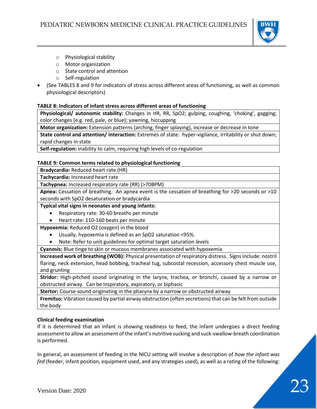

- o Physiological stability
- o Motor organization
- o State control and attention
- o Self-regulation
- (See TABLES 8 and 9 for indicators of stress across different areas of functioning, as well as common physiological descriptors)

# **TABLE 8: Indicators of infant stress across different areas of functioning**

**Physiological/ autonomic stability:** Changes in HR, RR, SpO2; gulping, coughing, 'choking', gagging; color changes (e.g. red, pale, or blue); yawning, hiccupping

**Motor organization:** Extension patterns (arching, finger splaying), increase or decrease in tone

**State control and attention/ interaction:** Extremes of state: hyper-vigilance, irritability or shut down; rapid changes in state

**Self-regulation:** inability to calm, requiring high levels of co-regulation

# **TABLE 9: Common terms related to physiological functioning**

**Bradycardia:** Reduced heart rate (HR)

**Tachycardia:** Increased heart rate

**Tachypnea:** Increased respiratory rate (RR) (>70BPM)

**Apnea:** Cessation of breathing. An apnea event is the cessation of breathing for >20 seconds or >10 seconds with SpO2 desaturation or bradycardia

**Typical vital signs in neonates and young infants:**

- Respiratory rate: 30-60 breaths per minute
- Heart rate: 110-160 beats per minute

**Hypoxemia:** Reduced O2 (oxygen) in the blood

- Usually, hypoxemia is defined as an SpO2 saturation <95%.
- Note: Refer to unit guidelines for optimal target saturation levels

**Cyanosis:** Blue tinge to skin or mucous membranes associated with hypoxemia

**Increased work of breathing (WOB):** Physical presentation of respiratory distress. Signs include: nostril flaring, neck extension, head bobbing, tracheal tug, subcostal recession, accessory chest muscle use, and grunting

**Stridor:** High-pitched sound originating in the larynx, trachea, or bronchi, caused by a narrow or obstructed airway. Can be inspiratory, expiratory, or biphasic

**Stertor:** Course sound originating in the pharynx by a narrow or obstructed airway

**Fremitus:** Vibration caused by partial airway obstruction (often secretions) that can be felt from outside the body

# **Clinical feeding examination**

If it is determined that an infant is showing readiness to feed, the infant undergoes a direct feeding assessment to allow an assessment of the infant's nutritive sucking and suck-swallow-breath coordination is performed.

In general, an assessment of feeding in the NICU setting will involve a description of *how the infant was fed* (feeder, infant position, equipment used, and any strategies used), as well as a rating of the following: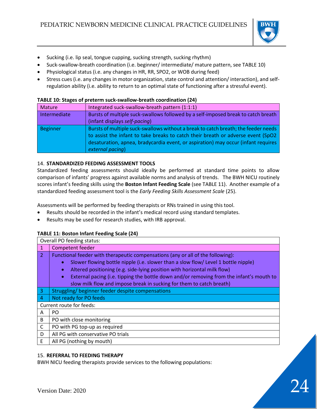

- Sucking (i.e. lip seal, tongue cupping, sucking strength, sucking rhythm)
- Suck-swallow-breath coordination (i.e. beginner/ intermediate/ mature pattern, see TABLE 10)
- Physiological status (i.e. any changes in HR, RR, SPO2, or WOB during feed)
- Stress cues (i.e. any changes in motor organization, state control and attention/ interaction), and selfregulation ability (i.e. ability to return to an optimal state of functioning after a stressful event).

### **TABLE 10: Stages of preterm suck-swallow-breath coordination (24)**

| Mature       | Integrated suck-swallow-breath pattern (1:1:1)                                                                                                                                                                                                                                  |
|--------------|---------------------------------------------------------------------------------------------------------------------------------------------------------------------------------------------------------------------------------------------------------------------------------|
| Intermediate | Bursts of multiple suck-swallows followed by a self-imposed break to catch breath                                                                                                                                                                                               |
|              | (infant displays self-pacing)                                                                                                                                                                                                                                                   |
| Beginner     | Bursts of multiple suck-swallows without a break to catch breath; the feeder needs<br>to assist the infant to take breaks to catch their breath or adverse event (SpO2<br>desaturation, apnea, bradycardia event, or aspiration) may occur (infant requires<br>external pacing) |

# 14. **STANDARDIZED FEEDING ASSESSMENT TOOLS**

Standardized feeding assessments should ideally be performed at standard time points to allow comparison of infants' progress against available norms and analysis of trends. The BWH NICU routinely scores infant's feeding skills using the **Boston Infant Feeding Scale** (see TABLE 11). Another example of a standardized feeding assessment tool is the *Early Feeding Skills Assessment Scale* (25).

Assessments will be performed by feeding therapists or RNs trained in using this tool.

- Results should be recorded in the infant's medical record using standard templates.
- Results may be used for research studies, with IRB approval.

# **TABLE 11: Boston Infant Feeding Scale (24)**

|                | Overall PO feeding status:                                                                            |  |
|----------------|-------------------------------------------------------------------------------------------------------|--|
| $\mathbf{1}$   | <b>Competent feeder</b>                                                                               |  |
| $\overline{2}$ | Functional feeder with therapeutic compensations (any or all of the following):                       |  |
|                | Slower flowing bottle nipple (i.e. slower than a slow flow/ Level 1 bottle nipple)<br>$\bullet$       |  |
|                | Altered positioning (e.g. side-lying position with horizontal milk flow)<br>$\bullet$                 |  |
|                | External pacing (i.e. tipping the bottle down and/or removing from the infant's mouth to<br>$\bullet$ |  |
|                | slow milk flow and impose break in sucking for them to catch breath)                                  |  |
| $\overline{3}$ | Struggling/ beginner feeder despite compensations                                                     |  |
| $\overline{4}$ | Not ready for PO feeds                                                                                |  |
|                | Current route for feeds:                                                                              |  |
| Α              | PO.                                                                                                   |  |
| B              | PO with close monitoring                                                                              |  |
| C              | PO with PG top-up as required                                                                         |  |
| D              | All PG with conservative PO trials                                                                    |  |
| E              | All PG (nothing by mouth)                                                                             |  |

# 15. **REFERRAL TO FEEDING THERAPY**

BWH NICU feeding therapists provide services to the following populations: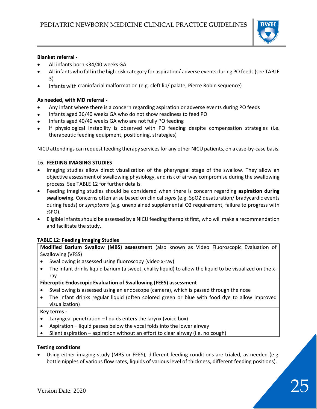

# **Blanket referral -**

- All infants born <34/40 weeks GA
- All infants who fall in the high-risk category for aspiration/ adverse events during PO feeds(see TABLE 3)
- Infants with craniofacial malformation (e.g. cleft lip/ palate, Pierre Robin sequence)

# **As needed, with MD referral -**

- Any infant where there is a concern regarding aspiration or adverse events during PO feeds
- Infants aged 36/40 weeks GA who do not show readiness to feed PO
- Infants aged 40/40 weeks GA who are not fully PO feeding
- If physiological instability is observed with PO feeding despite compensation strategies (i.e. therapeutic feeding equipment, positioning, strategies)

NICU attendings can request feeding therapy services for any other NICU patients, on a case-by-case basis.

# 16. **FEEDING IMAGING STUDIES**

- Imaging studies allow direct visualization of the pharyngeal stage of the swallow. They allow an objective assessment of swallowing physiology, and risk of airway compromise during the swallowing process. See TABLE 12 for further details.
- Feeding imaging studies should be considered when there is concern regarding **aspiration during swallowing**. Concerns often arise based on clinical *signs* (e.g. SpO2 desaturation/ bradycardic events during feeds) or *symptoms* (e.g. unexplained supplemental O2 requirement, failure to progress with %PO).
- Eligible infants should be assessed by a NICU feeding therapist first, who will make a recommendation and facilitate the study.

# **TABLE 12: Feeding Imaging Studies**

**Modified Barium Swallow (MBS) assessment** (also known as Video Fluoroscopic Evaluation of Swallowing (VFSS)

- Swallowing is assessed using fluoroscopy (video x-ray)
- The infant drinks liquid barium (a sweet, chalky liquid) to allow the liquid to be visualized on the xray

# **Fiberoptic Endoscopic Evaluation of Swallowing (FEES) assessment**

- Swallowing is assessed using an endoscope (camera), which is passed through the nose
- The infant drinks regular liquid (often colored green or blue with food dye to allow improved visualization)

# **Key terms -**

- Laryngeal penetration liquids enters the larynx (voice box)
- Aspiration liquid passes below the vocal folds into the lower airway
- Silent aspiration aspiration without an effort to clear airway (i.e. no cough)

# **Testing conditions**

Using either imaging study (MBS or FEES), different feeding conditions are trialed, as needed (e.g. bottle nipples of various flow rates, liquids of various level of thickness, different feeding positions).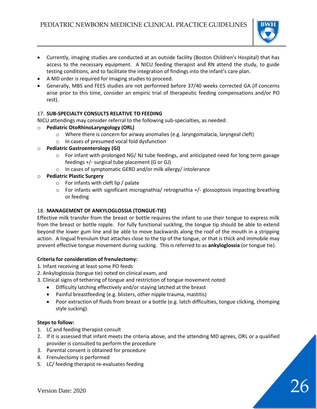

- Currently, imaging studies are conducted at an outside facility (Boston Children's Hospital) that has access to the necessary equipment. A NICU feeding therapist and RN attend the study, to guide testing conditions, and to facilitate the integration of findings into the infant's care plan.
- A MD order is required for imaging studies to proceed.
- Generally, MBS and FEES studies are not performed before 37/40 weeks corrected GA (if concerns arise prior to this time, consider an empiric trial of therapeutic feeding compensations and/or PO rest).

# 17. **SUB-SPECIALTY CONSULTS RELATIVE TO FEEDING**

NICU attendings may consider referral to the following sub-specialties, as needed:

- o **Pediatric OtoRhinoLaryngology (ORL)**
	- o Where there is concern for airway anomalies (e.g. laryngomalacia, laryngeal cleft)
	- o In cases of presumed vocal fold dysfunction
- o **Pediatric Gastroenterology (GI)**
	- o For infant with prolonged NG/ NJ tube feedings, and anticipated need for long term gavage feedings +/- surgical tube placement (G or GJ)
	- o In cases of symptomatic GERD and/or milk allergy/ intolerance
- o **Pediatric Plastic Surgery**
	- $\circ$  For infants with cleft lip / palate
	- $\circ$  For infants with significant micrognathia/ retrognathia  $+/-$  glossoptosis impacting breathing or feeding

# 18. **MANAGEMENT OF ANKYLOGLOSSIA (TONGUE-TIE)**

Effective milk transfer from the breast or bottle requires the infant to use their tongue to express milk from the breast or bottle nipple. For fully functional suckling, the tongue tip should be able to extend beyond the lower gum line and be able to move backwards along the roof of the mouth in a stripping action. A lingual frenulum that attaches close to the tip of the tongue, or that is thick and immobile may prevent effective tongue movement during sucking. This is referred to as **ankyloglossia** (or tongue tie).

# **Criteria for consideration of frenulectomy:**

- 1. Infant receiving at least some PO feeds
- 2. Ankyloglossia (tongue tie) noted on clinical exam, and
- 3. Clinical signs of tethering of tongue and restriction of tongue movement noted:
	- Difficulty latching effectively and/or staying latched at the breast
	- Painful breastfeeding (e.g. blisters, other nipple trauma, mastitis)
	- Poor extraction of fluids from breast or a bottle (e.g. latch difficulties, tongue clicking, chomping style sucking).

# **Steps to follow:**

- 1. LC and feeding therapist consult
- 2. If it is assessed that infant meets the criteria above, and the attending MD agrees, ORL or a qualified provider is consulted to perform the procedure
- 3. Parental consent is obtained for procedure
- 4. Frenulectomy is performed
- 5. LC/ feeding therapist re-evaluates feeding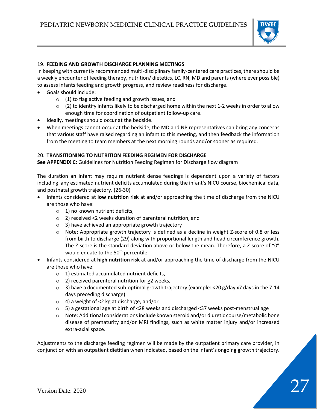

# 19. **FEEDING AND GROWTH DISCHARGE PLANNING MEETINGS**

In keeping with currently recommended multi-disciplinary family-centered care practices, there should be a weekly encounter of feeding therapy, nutrition/ dietetics, LC, RN, MD and parents (where ever possible) to assess infants feeding and growth progress, and review readiness for discharge.

- Goals should include:
	- $\circ$  (1) to flag active feeding and growth issues, and
	- $\circ$  (2) to identify infants likely to be discharged home within the next 1-2 weeks in order to allow enough time for coordination of outpatient follow-up care.
- Ideally, meetings should occur at the bedside.
- When meetings cannot occur at the bedside, the MD and NP representatives can bring any concerns that various staff have raised regarding an infant to this meeting, and then feedback the information from the meeting to team members at the next morning rounds and/or sooner as required.

# 20. **TRANSITIONING TO NUTRITION FEEDING REGIMEN FOR DISCHARGE**

**See APPENDIX C:** Guidelines for Nutrition Feeding Regimen for Discharge flow diagram

The duration an infant may require nutrient dense feedings is dependent upon a variety of factors including any estimated nutrient deficits accumulated during the infant's NICU course, biochemical data, and postnatal growth trajectory. (26-30)

- Infants considered at **low nutrition risk** at and/or approaching the time of discharge from the NICU are those who have:
	- $\circ$  1) no known nutrient deficits,
	- o 2) received <2 weeks duration of parenteral nutrition, and
	- o 3) have achieved an appropriate growth trajectory
	- $\circ$  Note: Appropriate growth trajectory is defined as a decline in weight Z-score of 0.8 or less from birth to discharge (29) along with proportional length and head circumference growth. The Z-score is the standard deviation above or below the mean. Therefore, a Z-score of "0" would equate to the 50<sup>th</sup> percentile.
- Infants considered at **high nutrition risk** at and/or approaching the time of discharge from the NICU are those who have:
	- $\circ$  1) estimated accumulated nutrient deficits,
	- $\circ$  2) received parenteral nutrition for  $\geq$ 2 weeks,
	- $\circ$  3) have a documented sub-optimal growth trajectory (example: <20 g/day x7 days in the 7-14 days preceding discharge)
	- o 4) a weight of <2 kg at discharge, and/or
	- o 5) a gestational age at birth of <28 weeks and discharged <37 weeks post-menstrual age
	- o Note: Additional considerations include known steroid and/or diuretic course/metabolic bone disease of prematurity and/or MRI findings, such as white matter injury and/or increased extra-axial space.

Adjustments to the discharge feeding regimen will be made by the outpatient primary care provider, in conjunction with an outpatient dietitian when indicated, based on the infant's ongoing growth trajectory.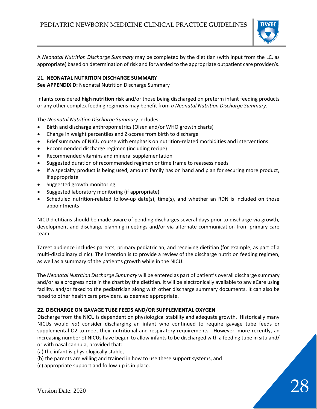

A *Neonatal Nutrition Discharge Summary* may be completed by the dietitian (with input from the LC, as appropriate) based on determination of risk and forwarded to the appropriate outpatient care provider/s.

# 21. **NEONATAL NUTRITION DISCHARGE SUMMARY**

**See APPENDIX D:** Neonatal Nutrition Discharge Summary

Infants considered **high nutrition risk** and/or those being discharged on preterm infant feeding products or any other complex feeding regimens may benefit from *a Neonatal Nutrition Discharge Summary*.

The *Neonatal Nutrition Discharge Summary* includes:

- Birth and discharge anthropometrics (Olsen and/or WHO growth charts)
- Change in weight percentiles and Z-scores from birth to discharge
- Brief summary of NICU course with emphasis on nutrition-related morbidities and interventions
- Recommended discharge regimen (including recipe)
- Recommended vitamins and mineral supplementation
- Suggested duration of recommended regimen or time frame to reassess needs
- If a specialty product is being used, amount family has on hand and plan for securing more product, if appropriate
- Suggested growth monitoring
- Suggested laboratory monitoring (if appropriate)
- Scheduled nutrition-related follow-up date(s), time(s), and whether an RDN is included on those appointments

NICU dietitians should be made aware of pending discharges several days prior to discharge via growth, development and discharge planning meetings and/or via alternate communication from primary care team.

Target audience includes parents, primary pediatrician, and receiving dietitian (for example, as part of a multi-disciplinary clinic). The intention is to provide a review of the discharge nutrition feeding regimen, as well as a summary of the patient's growth while in the NICU.

The *Neonatal Nutrition Discharge Summary* will be entered as part of patient's overall discharge summary and/or as a progress note in the chart by the dietitian. It will be electronically available to any eCare using facility, and/or faxed to the pediatrician along with other discharge summary documents. It can also be faxed to other health care providers, as deemed appropriate.

# **22. DISCHARGE ON GAVAGE TUBE FEEDS AND/OR SUPPLEMENTAL OXYGEN**

Discharge from the NICU is dependent on physiological stability and adequate growth. Historically many NICUs would *not* consider discharging an infant who continued to require gavage tube feeds or supplemental O2 to meet their nutritional and respiratory requirements. However, more recently, an increasing number of NICUs have begun to allow infants to be discharged with a feeding tube in situ and/ or with nasal cannula, provided that:

(a) the infant is physiologically stable,

- (b) the parents are willing and trained in how to use these support systems, and
- (c) appropriate support and follow-up is in place.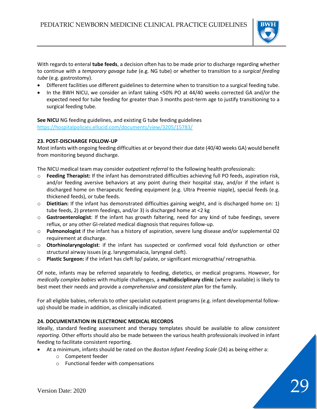

With regards to enteral **tube feeds**, a decision often has to be made prior to discharge regarding whether to continue with a *temporary gavage tube* (e.g. NG tube) or whether to transition to a *surgical feeding tube* (e.g. gastrostomy).

- Different facilities use different guidelines to determine when to transition to a surgical feeding tube.
- In the BWH NICU, we consider an infant taking <50% PO at 44/40 weeks corrected GA and/or the expected need for tube feeding for greater than 3 months post-term age to justify transitioning to a surgical feeding tube.

**See NICU** NG feeding guidelines, and existing G tube feeding guidelines <https://hospitalpolicies.ellucid.com/documents/view/3205/15783/>

# **23. POST-DISCHARGE FOLLOW-UP**

Most infants with ongoing feeding difficulties at or beyond their due date (40/40 weeks GA) would benefit from monitoring beyond discharge.

The NICU medical team may consider *outpatient referral* to the following health professionals:

- o **Feeding Therapist:** If the infant has demonstrated difficulties achieving full PO feeds, aspiration risk, and/or feeding aversive behaviors at any point during their hospital stay, and/or if the infant is discharged home on therapeutic feeding equipment (e.g. Ultra Preemie nipple), special feeds (e.g. thickened feeds), or tube feeds.
- o **Dietitian:** If the infant has demonstrated difficulties gaining weight, and is discharged home on: 1) tube feeds, 2) preterm feedings, and/or 3) is discharged home at <2 kg
- o **Gastroenterologist**: If the infant has growth faltering, need for any kind of tube feedings, severe reflux, or any other GI-related medical diagnosis that requires follow-up.
- o **Pulmonologist** if the infant has a history of aspiration, severe lung disease and/or supplemental O2 requirement at discharge.
- o **Otorhinolaryngologist**: if the infant has suspected or confirmed vocal fold dysfunction or other structural airway issues (e.g. laryngomalacia, laryngeal cleft).
- o **Plastic Surgeon:** if the infant has cleft lip/ palate, or significant micrognathia/ retrognathia.

Of note, infants may be referred separately to feeding, dietetics, or medical programs. However, for *medically complex babies* with multiple challenges, a **multidisciplinary clinic** (where available) is likely to best meet their needs and provide a *comprehensive and consistent plan* for the family.

For all eligible babies, referrals to other specialist outpatient programs (e.g. infant developmental followup) should be made in addition, as clinically indicated.

# **24. DOCUMENTATION IN ELECTRONIC MEDICAL RECORDS**

Ideally, standard feeding assessment and therapy templates should be available to allow *consistent reporting*. Other efforts should also be made between the various health professionals involved in infant feeding to facilitate consistent reporting.

- At a minimum, infants should be rated on the *Boston Infant Feeding Scale* (24) as being either a:
	- o Competent feeder
	- o Functional feeder with compensations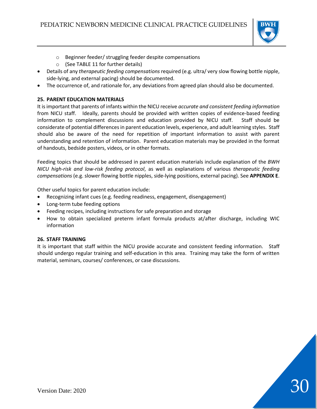

- o Beginner feeder/ struggling feeder despite compensations
- o (See TABLE 11 for further details)
- Details of any *therapeutic feeding compensations* required (e.g. ultra/ very slow flowing bottle nipple, side-lying, and external pacing) should be documented.
- The occurrence of, and rationale for, any deviations from agreed plan should also be documented.

# **25. PARENT EDUCATION MATERIALS**

It is important that parents of infants within the NICU receive *accurate and consistent feeding information* from NICU staff. Ideally, parents should be provided with written copies of evidence-based feeding information to complement discussions and education provided by NICU staff. Staff should be considerate of potential differences in parent education levels, experience, and adult learning styles. Staff should also be aware of the need for repetition of important information to assist with parent understanding and retention of information. Parent education materials may be provided in the format of handouts, bedside posters, videos, or in other formats.

Feeding topics that should be addressed in parent education materials include explanation of the *BWH NICU high-risk and low-risk feeding protocol*, as well as explanations of various *therapeutic feeding compensations* (e.g. slower flowing bottle nipples, side-lying positions, external pacing). See **APPENDIX E**.

Other useful topics for parent education include:

- Recognizing infant cues (e.g. feeding readiness, engagement, disengagement)
- Long-term tube feeding options
- Feeding recipes, including instructions for safe preparation and storage
- How to obtain specialized preterm infant formula products at/after discharge, including WIC information

# **26. STAFF TRAINING**

It is important that staff within the NICU provide accurate and consistent feeding information. Staff should undergo regular training and self-education in this area. Training may take the form of written material, seminars, courses/ conferences, or case discussions.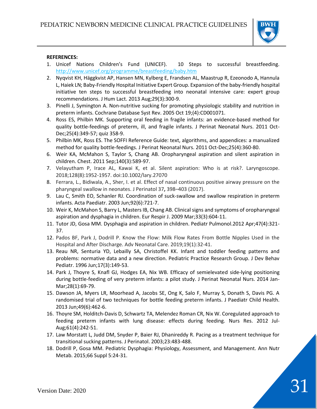

#### **REFERENCES:**

- 1. Unicef Nations Children's Fund (UNICEF). 10 Steps to successful breastfeeding. <http://www.unicef.org/programme/breastfeeding/baby.htm>
- 2. Nyqvist KH, Häggkvist AP, Hansen MN, Kylberg E, Frandsen AL, Maastrup R, Ezeonodo A, Hannula L, Haiek LN; Baby-Friendly Hospital Initiative Expert Group. Expansion of the baby-friendly hospital initiative ten steps to successful breastfeeding into neonatal intensive care: expert group recommendations. J Hum Lact. 2013 Aug;29(3):300-9.
- 3. Pinelli J, Symington A. Non-nutritive sucking for promoting physiologic stability and nutrition in preterm infants. Cochrane Database Syst Rev. 2005 Oct 19;(4):CD001071.
- 4. Ross ES, Philbin MK. Supporting oral feeding in fragile infants: an evidence-based method for quality bottle-feedings of preterm, ill, and fragile infants. J Perinat Neonatal Nurs. 2011 Oct-Dec;25(4):349-57; quiz 358-9.
- 5. Philbin MK, Ross ES. The SOFFI Reference Guide: text, algorithms, and appendices: a manualized method for quality bottle-feedings. J Perinat Neonatal Nurs. 2011 Oct-Dec;25(4):360-80.
- 6. Weir KA, McMahon S, Taylor S, Chang AB. Oropharyngeal aspiration and silent aspiration in children. Chest. 2011 Sep;140(3):589-97.
- 7. Velayutham P, Irace AL, Kawai K, et al. Silent aspiration: Who is at risk?. Laryngoscope. 2018;128(8):1952-1957. doi:10.1002/lary.27070
- 8. Ferrara, L., Bidiwala, A., Sher, I. et al. Effect of nasal continuous positive airway pressure on the pharyngeal swallow in neonates. J Perinatol 37**,** 398–403 (2017).
- 9. Lau C, Smith EO, Schanler RJ. Coordination of suck-swallow and swallow respiration in preterm infants. Acta Paediatr. 2003 Jun;92(6):721-7.
- 10. Weir K, McMahon S, Barry L, Masters IB, Chang AB. Clinical signs and symptoms of oropharyngeal aspiration and dysphagia in children. Eur Respir J. 2009 Mar;33(3):604-11.
- 11. Tutor JD, Gosa MM. Dysphagia and aspiration in children. Pediatr Pulmonol.2012 Apr;47(4):321- 37.
- 12. Pados BF, Park J, Dodrill P. Know the Flow: Milk Flow Rates From Bottle Nipples Used in the Hospital and After Discharge. Adv Neonatal Care. 2019;19(1):32-41.
- 13. Reau NR, Senturia YD, Lebailly SA, Christoffel KK. Infant and toddler feeding patterns and problems: normative data and a new direction. Pediatric Practice Research Group. J Dev Behav Pediatr. 1996 Jun;17(3):149-53.
- 14. Park J, Thoyre S, Knafl GJ, Hodges EA, Nix WB. Efficacy of semielevated side-lying positioning during bottle-feeding of very preterm infants: a pilot study. J Perinat Neonatal Nurs. 2014 Jan-Mar;28(1):69-79.
- 15. Dawson JA, Myers LR, Moorhead A, Jacobs SE, Ong K, Salo F, Murray S, Donath S, Davis PG. A randomised trial of two techniques for bottle feeding preterm infants. J Paediatr Child Health. 2013 Jun;49(6):462-6.
- 16. Thoyre SM, Holditch-Davis D, Schwartz TA, Melendez Roman CR, Nix W. Coregulated approach to feeding preterm infants with lung disease: effects during feeding. Nurs Res. 2012 Jul-Aug;61(4):242-51.
- 17. Law Morstatt L, Judd DM, Snyder P, Baier RJ, Dhanireddy R. Pacing as a treatment technique for transitional sucking patterns. J Perinatol. 2003;23:483-488.
- 18. Dodrill P, Gosa MM. Pediatric Dysphagia: Physiology, Assessment, and Management. Ann Nutr Metab. 2015;66 Suppl 5:24-31.